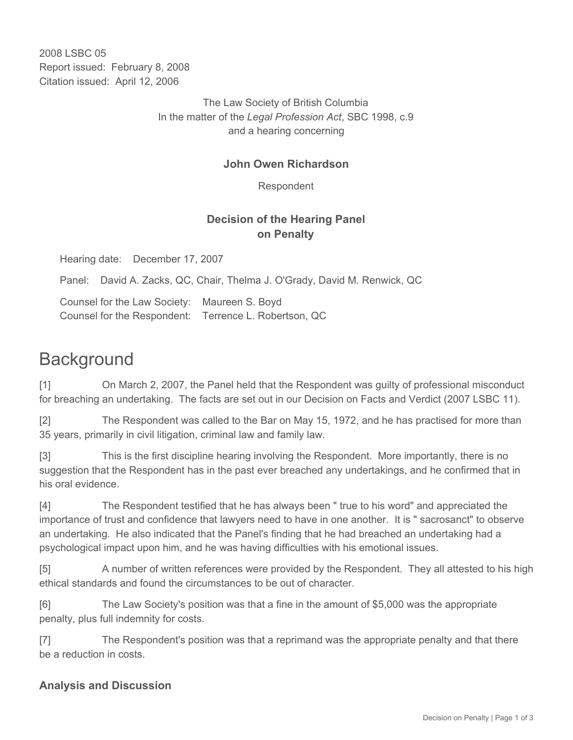2008 LSBC 05 Report issued: February 8, 2008 Citation issued: April 12, 2006

> The Law Society of British Columbia In the matter of the *Legal Profession Act*, SBC 1998, c.9 and a hearing concerning

#### **John Owen Richardson**

Respondent

### **Decision of the Hearing Panel on Penalty**

Hearing date: December 17, 2007

Panel: David A. Zacks, QC, Chair, Thelma J. O'Grady, David M. Renwick, QC

Counsel for the Law Society: Maureen S. Boyd Counsel for the Respondent: Terrence L. Robertson, QC

# **Background**

[1] On March 2, 2007, the Panel held that the Respondent was guilty of professional misconduct for breaching an undertaking. The facts are set out in our Decision on Facts and Verdict (2007 LSBC 11).

[2] The Respondent was called to the Bar on May 15, 1972, and he has practised for more than 35 years, primarily in civil litigation, criminal law and family law.

[3] This is the first discipline hearing involving the Respondent. More importantly, there is no suggestion that the Respondent has in the past ever breached any undertakings, and he confirmed that in his oral evidence.

[4] The Respondent testified that he has always been " true to his word" and appreciated the importance of trust and confidence that lawyers need to have in one another. It is " sacrosanct" to observe an undertaking. He also indicated that the Panel's finding that he had breached an undertaking had a psychological impact upon him, and he was having difficulties with his emotional issues.

[5] A number of written references were provided by the Respondent. They all attested to his high ethical standards and found the circumstances to be out of character.

[6] The Law Society's position was that a fine in the amount of \$5,000 was the appropriate penalty, plus full indemnity for costs.

[7] The Respondent's position was that a reprimand was the appropriate penalty and that there be a reduction in costs.

## **Analysis and Discussion**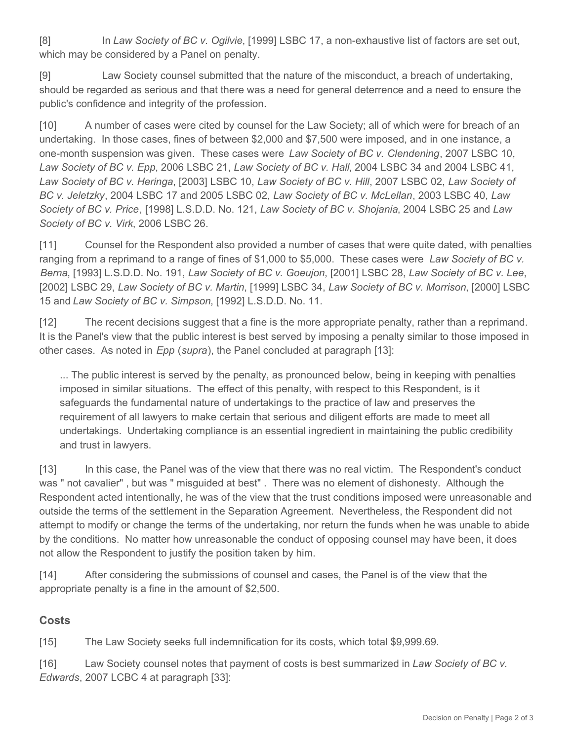[8] In *Law Society of BC v. Ogilvie*, [1999] LSBC 17, a non-exhaustive list of factors are set out, which may be considered by a Panel on penalty.

[9] Law Society counsel submitted that the nature of the misconduct, a breach of undertaking, should be regarded as serious and that there was a need for general deterrence and a need to ensure the public's confidence and integrity of the profession.

[10] A number of cases were cited by counsel for the Law Society; all of which were for breach of an undertaking. In those cases, fines of between \$2,000 and \$7,500 were imposed, and in one instance, a one-month suspension was given. These cases were *Law Society of BC v. Clendening*, 2007 LSBC 10, *Law Society of BC v. Epp*, 2006 LSBC 21, *Law Society of BC v. Hall*, 2004 LSBC 34 and 2004 LSBC 41, *Law Society of BC v. Heringa*, [2003] LSBC 10, *Law Society of BC v. Hill*, 2007 LSBC 02, *Law Society of BC v. Jeletzky*, 2004 LSBC 17 and 2005 LSBC 02, *Law Society of BC v. McLellan*, 2003 LSBC 40, *Law Society of BC v. Price*, [1998] L.S.D.D. No. 121, *Law Society of BC v. Shojania*, 2004 LSBC 25 and *Law Society of BC v. Virk*, 2006 LSBC 26.

[11] Counsel for the Respondent also provided a number of cases that were quite dated, with penalties ranging from a reprimand to a range of fines of \$1,000 to \$5,000. These cases were *Law Society of BC v. Berna*, [1993] L.S.D.D. No. 191, *Law Society of BC v. Goeujon*, [2001] LSBC 28, *Law Society of BC v. Lee*, [2002] LSBC 29, *Law Society of BC v. Martin*, [1999] LSBC 34, *Law Society of BC v. Morrison*, [2000] LSBC 15 and *Law Society of BC v. Simpson*, [1992] L.S.D.D. No. 11.

[12] The recent decisions suggest that a fine is the more appropriate penalty, rather than a reprimand. It is the Panel's view that the public interest is best served by imposing a penalty similar to those imposed in other cases. As noted in *Epp* (*supra*), the Panel concluded at paragraph [13]:

... The public interest is served by the penalty, as pronounced below, being in keeping with penalties imposed in similar situations. The effect of this penalty, with respect to this Respondent, is it safeguards the fundamental nature of undertakings to the practice of law and preserves the requirement of all lawyers to make certain that serious and diligent efforts are made to meet all undertakings. Undertaking compliance is an essential ingredient in maintaining the public credibility and trust in lawyers.

[13] In this case, the Panel was of the view that there was no real victim. The Respondent's conduct was " not cavalier" , but was " misguided at best" . There was no element of dishonesty. Although the Respondent acted intentionally, he was of the view that the trust conditions imposed were unreasonable and outside the terms of the settlement in the Separation Agreement. Nevertheless, the Respondent did not attempt to modify or change the terms of the undertaking, nor return the funds when he was unable to abide by the conditions. No matter how unreasonable the conduct of opposing counsel may have been, it does not allow the Respondent to justify the position taken by him.

[14] After considering the submissions of counsel and cases, the Panel is of the view that the appropriate penalty is a fine in the amount of \$2,500.

## **Costs**

[15] The Law Society seeks full indemnification for its costs, which total \$9,999.69.

[16] Law Society counsel notes that payment of costs is best summarized in *Law Society of BC v. Edwards*, 2007 LCBC 4 at paragraph [33]: